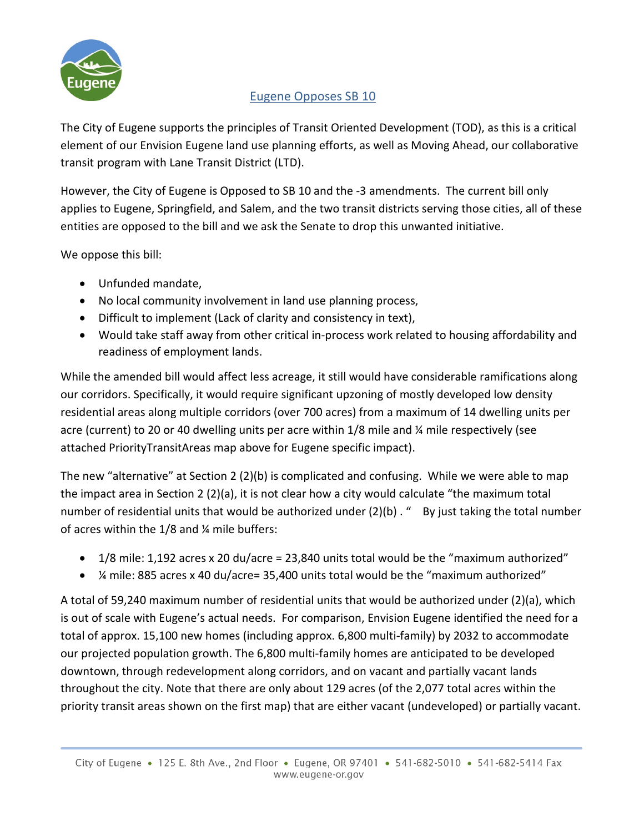

## Eugene Opposes SB 10

The City of Eugene supports the principles of Transit Oriented Development (TOD), as this is a critical element of our Envision Eugene land use planning efforts, as well as Moving Ahead, our collaborative transit program with Lane Transit District (LTD).

However, the City of Eugene is Opposed to SB 10 and the -3 amendments. The current bill only applies to Eugene, Springfield, and Salem, and the two transit districts serving those cities, all of these entities are opposed to the bill and we ask the Senate to drop this unwanted initiative.

We oppose this bill:

- Unfunded mandate,
- No local community involvement in land use planning process,
- Difficult to implement (Lack of clarity and consistency in text),
- Would take staff away from other critical in-process work related to housing affordability and readiness of employment lands.

While the amended bill would affect less acreage, it still would have considerable ramifications along our corridors. Specifically, it would require significant upzoning of mostly developed low density residential areas along multiple corridors (over 700 acres) from a maximum of 14 dwelling units per acre (current) to 20 or 40 dwelling units per acre within 1/8 mile and ¼ mile respectively (see attached PriorityTransitAreas map above for Eugene specific impact).

The new "alternative" at Section 2 (2)(b) is complicated and confusing. While we were able to map the impact area in Section 2 (2)(a), it is not clear how a city would calculate "the maximum total number of residential units that would be authorized under (2)(b) . " By just taking the total number of acres within the 1/8 and ¼ mile buffers:

- $1/8$  mile: 1,192 acres x 20 du/acre = 23,840 units total would be the "maximum authorized"
- ¼ mile: 885 acres x 40 du/acre= 35,400 units total would be the "maximum authorized"

A total of 59,240 maximum number of residential units that would be authorized under (2)(a), which is out of scale with Eugene's actual needs. For comparison, Envision Eugene identified the need for a total of approx. 15,100 new homes (including approx. 6,800 multi-family) by 2032 to accommodate our projected population growth. The 6,800 multi-family homes are anticipated to be developed downtown, through redevelopment along corridors, and on vacant and partially vacant lands throughout the city. Note that there are only about 129 acres (of the 2,077 total acres within the priority transit areas shown on the first map) that are either vacant (undeveloped) or partially vacant.